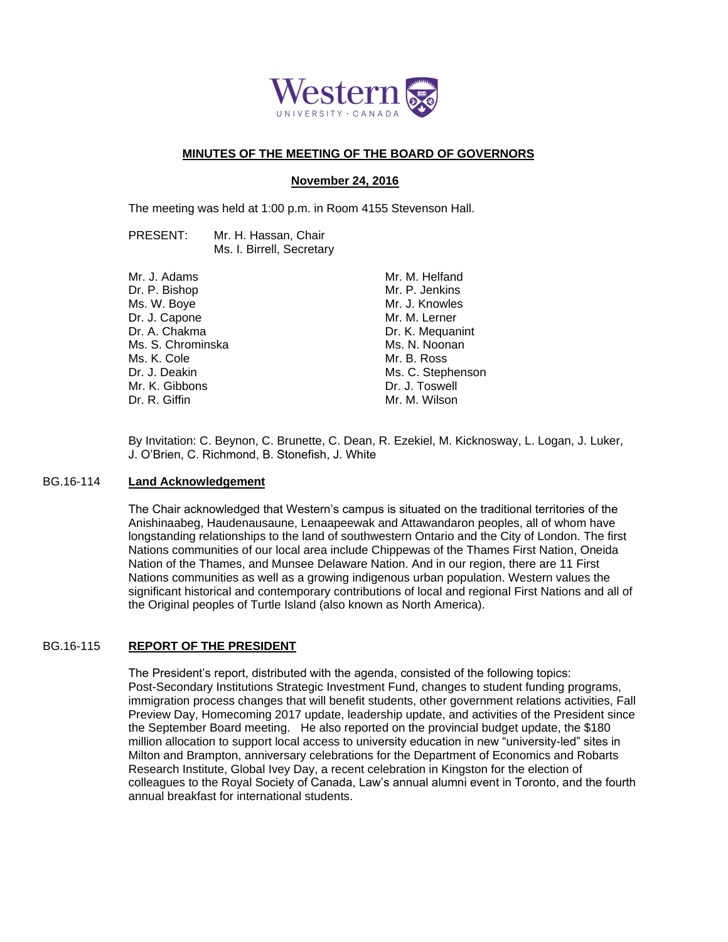

## **MINUTES OF THE MEETING OF THE BOARD OF GOVERNORS**

# **November 24, 2016**

The meeting was held at 1:00 p.m. in Room 4155 Stevenson Hall.

PRESENT: Mr. H. Hassan, Chair Ms. I. Birrell, Secretary

| Mr. J. Adams      |
|-------------------|
| Dr. P. Bishop     |
| Ms. W. Boye       |
| Dr. J. Capone     |
| Dr. A. Chakma     |
| Ms. S. Chrominska |
| Ms. K. Cole       |
| Dr. J. Deakin     |
| Mr. K. Gibbons    |
| Dr. R. Giffin     |
|                   |

Mr. M. Helfand Mr. P. Jenkins Mr. J. Knowles Mr. M. Lerner Dr. K. Mequanint Ms. N. Noonan Mr. B. Ross Ms. C. Stephenson Dr. J. Toswell Mr. M. Wilson

By Invitation: C. Beynon, C. Brunette, C. Dean, R. Ezekiel, M. Kicknosway, L. Logan, J. Luker, J. O'Brien, C. Richmond, B. Stonefish, J. White

#### BG.16-114 **Land Acknowledgement**

The Chair acknowledged that Western's campus is situated on the traditional territories of the Anishinaabeg, Haudenausaune, Lenaapeewak and Attawandaron peoples, all of whom have longstanding relationships to the land of southwestern Ontario and the City of London. The first Nations communities of our local area include Chippewas of the Thames First Nation, Oneida Nation of the Thames, and Munsee Delaware Nation. And in our region, there are 11 First Nations communities as well as a growing indigenous urban population. Western values the significant historical and contemporary contributions of local and regional First Nations and all of the Original peoples of Turtle Island (also known as North America).

## BG.16-115 **REPORT OF THE PRESIDENT**

The President's report, distributed with the agenda, consisted of the following topics: Post-Secondary Institutions Strategic Investment Fund, changes to student funding programs, immigration process changes that will benefit students, other government relations activities, Fall Preview Day, Homecoming 2017 update, leadership update, and activities of the President since the September Board meeting. He also reported on the provincial budget update, the \$180 million allocation to support local access to university education in new "university-led" sites in Milton and Brampton, anniversary celebrations for the Department of Economics and Robarts Research Institute, Global Ivey Day, a recent celebration in Kingston for the election of colleagues to the Royal Society of Canada, Law's annual alumni event in Toronto, and the fourth annual breakfast for international students.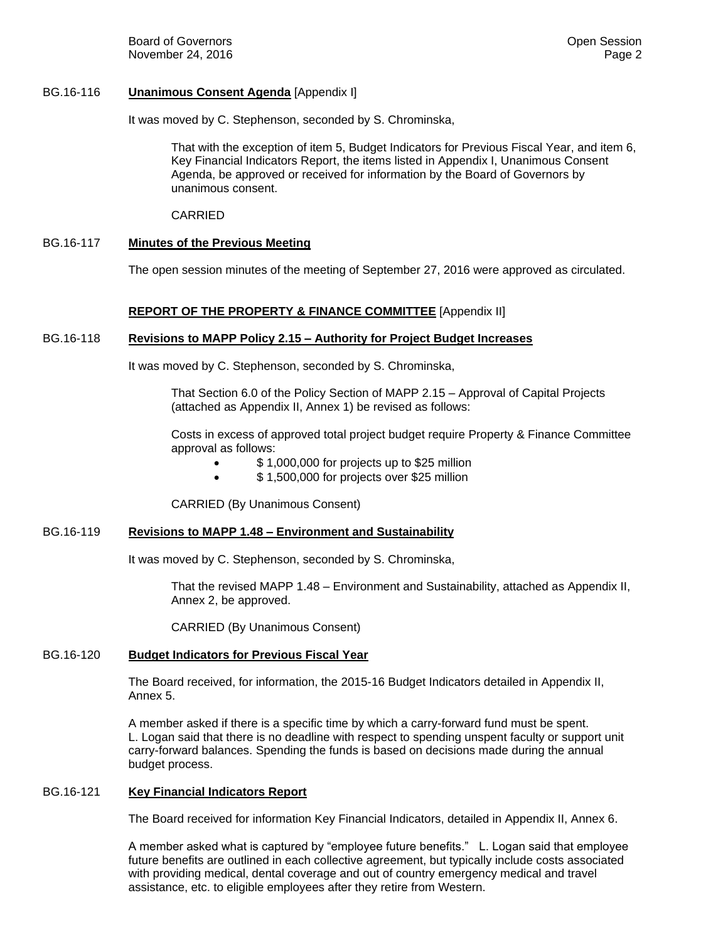Board of Governors **Community Board of Governors Community Community Community Community Community Community Community Community Community Community Community Community Community Community C** November 24, 2016 **Page 2** and the state of the state of the state of the state of the state of the state of the state of the state of the state of the state of the state of the state of the state of the state of the state

### BG.16-116 **Unanimous Consent Agenda** [Appendix I]

It was moved by C. Stephenson, seconded by S. Chrominska,

That with the exception of item 5, Budget Indicators for Previous Fiscal Year, and item 6, Key Financial Indicators Report, the items listed in Appendix I, Unanimous Consent Agenda, be approved or received for information by the Board of Governors by unanimous consent.

CARRIED

### BG.16-117 **Minutes of the Previous Meeting**

The open session minutes of the meeting of September 27, 2016 were approved as circulated.

### **REPORT OF THE PROPERTY & FINANCE COMMITTEE** [Appendix II]

### BG.16-118 **Revisions to MAPP Policy 2.15 – Authority for Project Budget Increases**

It was moved by C. Stephenson, seconded by S. Chrominska,

That Section 6.0 of the Policy Section of MAPP 2.15 – Approval of Capital Projects (attached as Appendix II, Annex 1) be revised as follows:

Costs in excess of approved total project budget require Property & Finance Committee approval as follows:

- \$ 1,000,000 for projects up to \$25 million
- \$ 1,500,000 for projects over \$25 million

CARRIED (By Unanimous Consent)

#### BG.16-119 **Revisions to MAPP 1.48 – Environment and Sustainability**

It was moved by C. Stephenson, seconded by S. Chrominska,

That the revised MAPP 1.48 – Environment and Sustainability, attached as Appendix II, Annex 2, be approved.

CARRIED (By Unanimous Consent)

#### BG.16-120 **Budget Indicators for Previous Fiscal Year**

The Board received, for information, the 2015-16 Budget Indicators detailed in Appendix II, Annex 5.

A member asked if there is a specific time by which a carry-forward fund must be spent. L. Logan said that there is no deadline with respect to spending unspent faculty or support unit carry-forward balances. Spending the funds is based on decisions made during the annual budget process.

#### BG.16-121 **Key Financial Indicators Report**

The Board received for information Key Financial Indicators, detailed in Appendix II, Annex 6.

A member asked what is captured by "employee future benefits." L. Logan said that employee future benefits are outlined in each collective agreement, but typically include costs associated with providing medical, dental coverage and out of country emergency medical and travel assistance, etc. to eligible employees after they retire from Western.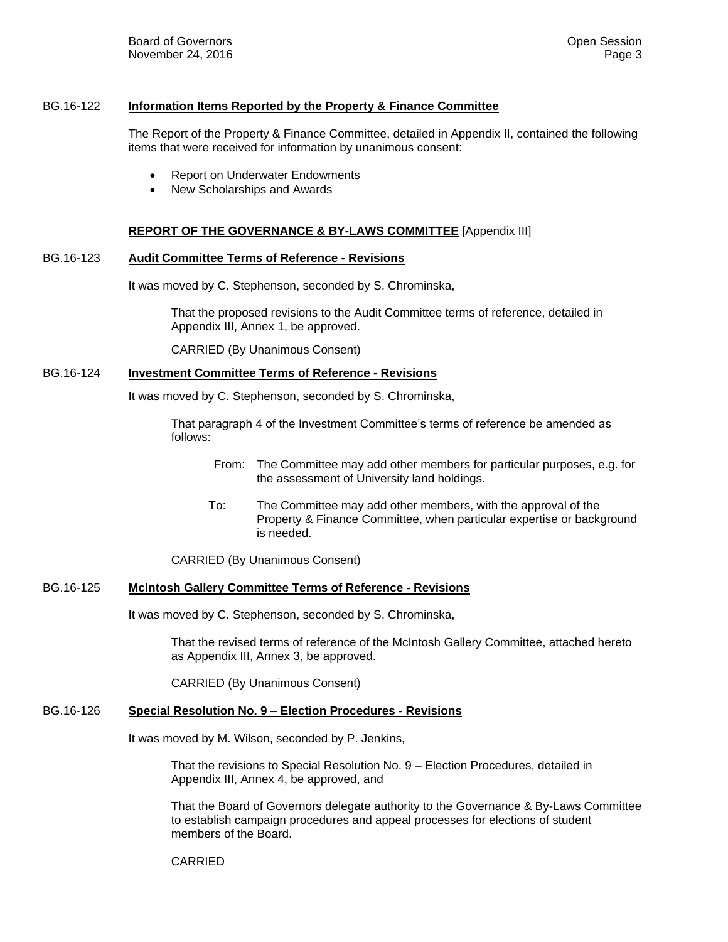### BG.16-122 **Information Items Reported by the Property & Finance Committee**

The Report of the Property & Finance Committee, detailed in Appendix II, contained the following items that were received for information by unanimous consent:

- Report on Underwater Endowments
- New Scholarships and Awards

## **REPORT OF THE GOVERNANCE & BY-LAWS COMMITTEE** [Appendix III]

## BG.16-123 **Audit Committee Terms of Reference - Revisions**

It was moved by C. Stephenson, seconded by S. Chrominska,

That the proposed revisions to the Audit Committee terms of reference, detailed in Appendix III, Annex 1, be approved.

CARRIED (By Unanimous Consent)

# BG.16-124 **Investment Committee Terms of Reference - Revisions**

It was moved by C. Stephenson, seconded by S. Chrominska,

That paragraph 4 of the Investment Committee's terms of reference be amended as follows:

- From: The Committee may add other members for particular purposes, e.g. for the assessment of University land holdings.
- To: The Committee may add other members, with the approval of the Property & Finance Committee, when particular expertise or background is needed.

CARRIED (By Unanimous Consent)

## BG.16-125 **McIntosh Gallery Committee Terms of Reference - Revisions**

It was moved by C. Stephenson, seconded by S. Chrominska,

That the revised terms of reference of the McIntosh Gallery Committee, attached hereto as Appendix III, Annex 3, be approved.

CARRIED (By Unanimous Consent)

# BG.16-126 **Special Resolution No. 9 – Election Procedures - Revisions**

It was moved by M. Wilson, seconded by P. Jenkins,

That the revisions to Special Resolution No. 9 – Election Procedures, detailed in Appendix III, Annex 4, be approved, and

That the Board of Governors delegate authority to the Governance & By-Laws Committee to establish campaign procedures and appeal processes for elections of student members of the Board.

#### CARRIED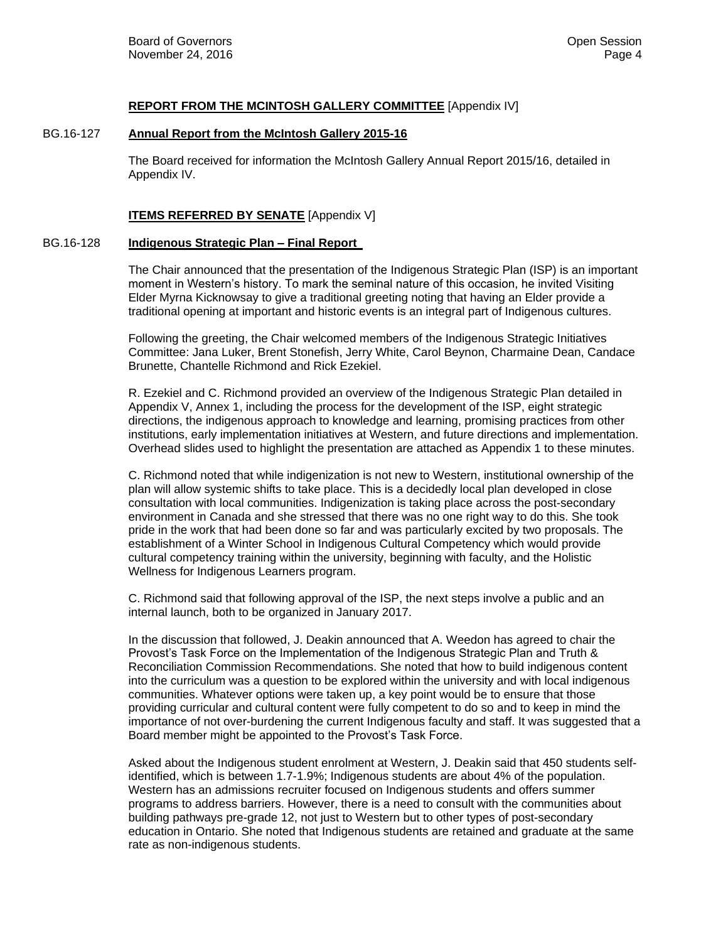### **REPORT FROM THE MCINTOSH GALLERY COMMITTEE** [Appendix IV]

#### BG.16-127 **Annual Report from the McIntosh Gallery 2015-16**

The Board received for information the McIntosh Gallery Annual Report 2015/16, detailed in Appendix IV.

## **ITEMS REFERRED BY SENATE** [Appendix V]

#### BG.16-128 **Indigenous Strategic Plan – Final Report**

The Chair announced that the presentation of the Indigenous Strategic Plan (ISP) is an important moment in Western's history. To mark the seminal nature of this occasion, he invited Visiting Elder Myrna Kicknowsay to give a traditional greeting noting that having an Elder provide a traditional opening at important and historic events is an integral part of Indigenous cultures.

Following the greeting, the Chair welcomed members of the Indigenous Strategic Initiatives Committee: Jana Luker, Brent Stonefish, Jerry White, Carol Beynon, Charmaine Dean, Candace Brunette, Chantelle Richmond and Rick Ezekiel.

R. Ezekiel and C. Richmond provided an overview of the Indigenous Strategic Plan detailed in Appendix V, Annex 1, including the process for the development of the ISP, eight strategic directions, the indigenous approach to knowledge and learning, promising practices from other institutions, early implementation initiatives at Western, and future directions and implementation. Overhead slides used to highlight the presentation are attached as Appendix 1 to these minutes.

C. Richmond noted that while indigenization is not new to Western, institutional ownership of the plan will allow systemic shifts to take place. This is a decidedly local plan developed in close consultation with local communities. Indigenization is taking place across the post-secondary environment in Canada and she stressed that there was no one right way to do this. She took pride in the work that had been done so far and was particularly excited by two proposals. The establishment of a Winter School in Indigenous Cultural Competency which would provide cultural competency training within the university, beginning with faculty, and the Holistic Wellness for Indigenous Learners program.

C. Richmond said that following approval of the ISP, the next steps involve a public and an internal launch, both to be organized in January 2017.

In the discussion that followed, J. Deakin announced that A. Weedon has agreed to chair the Provost's Task Force on the Implementation of the Indigenous Strategic Plan and Truth & Reconciliation Commission Recommendations. She noted that how to build indigenous content into the curriculum was a question to be explored within the university and with local indigenous communities. Whatever options were taken up, a key point would be to ensure that those providing curricular and cultural content were fully competent to do so and to keep in mind the importance of not over-burdening the current Indigenous faculty and staff. It was suggested that a Board member might be appointed to the Provost's Task Force.

Asked about the Indigenous student enrolment at Western, J. Deakin said that 450 students selfidentified, which is between 1.7-1.9%; Indigenous students are about 4% of the population. Western has an admissions recruiter focused on Indigenous students and offers summer programs to address barriers. However, there is a need to consult with the communities about building pathways pre-grade 12, not just to Western but to other types of post-secondary education in Ontario. She noted that Indigenous students are retained and graduate at the same rate as non-indigenous students.